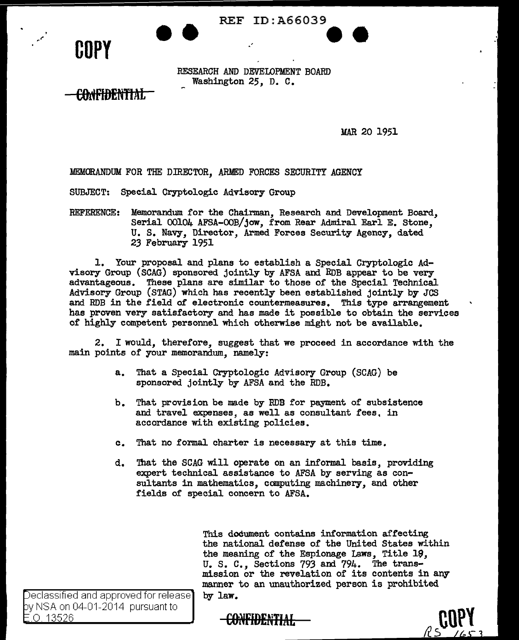REF ID:A66039



' *rt"* 

RF.sEARCH AND DEVELOPMENT BOARD Washington 25, D. C.

.'

**OOriFIDENTIAL** 

MAR 20 1951

**ee** 

:MEMORANDUM FOR THE DIRECTOR, ARMED FORCES SECURITY AGENCY

SUBJECT: Special Cryptologic Advisory- Group

REFERENCE: Memorandum. for the Chairman, Research and Development Board, Serial 00104 AFSA-OOB/jow, from Rear Admiral Earl E. Stone, U. S. Navy. Director, Armed Forces Security Agency. dated 23 February 1951

1. Your proposal and plans to establish a Special Cryptologic Advisory Group (SCAG) sponsored jointly- by AFSA and RDB appear to be very advantageous. These plans are similar to those of the Special Technical Advisory Group (STAG) which has recently been established jointly by- JCS and RDB in the field of electronic countermeasures. This type arrangement has proven very satisfactory and has made it possible to obtain the services of highly competent personnel which otherwise might not be available.

2. I would, therefore, suggest that we proceed in accordance with the main points of your memorandum., namely:

- a. That a Special Cryptologic Advisory Group (SCAG) be sponsored jointly by AFSA and the RDB.
- b. That provision be made by RDB for payment of subsistence and travel expenses, as well as consultant fees, in accordance with existing policies.
- c. That no formal charter is necessary- at this time.
- d. That the SCAG will operate on an informal basis, providing expert technical assistance to AFSA by serving as consultants in mathematics, computing machinery, and other fields of special concern to AFSA.

This document contains information affecting the national defense of the United States within the meaning of the Espionage Laws, Title 19, U. S. c., Sections 793 and 794. The transmission or the revelation or its contents in any manner to an unauthorized person is prohibited by- law.

Declassified and approved for release by NSA on 04-01-2014 pursuant to O 13526

CONFIDENTIAL

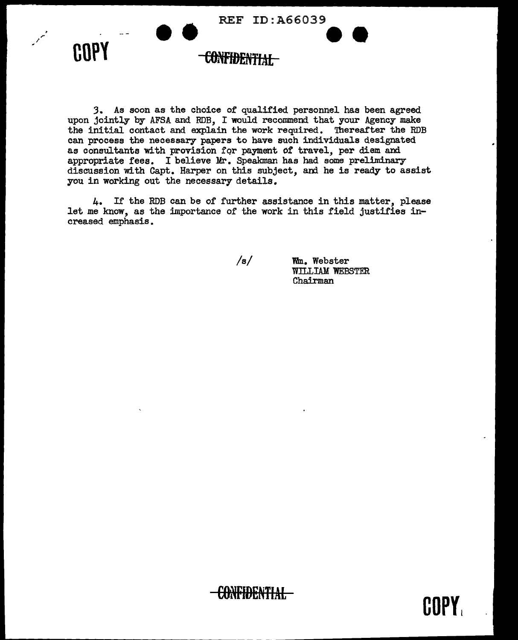

I

*3.* As soon as the choice of qualified personnel has been agreed upon jointly by AFSA and RDB, I would recommend that your Agency make the initial contact and explain the work required. Thereafter the RDB can process the necessary papers to have such individuals designated as consultants with provision for payment of travel, per diem and appropriate fees. I believe Mr. Speakman has had some preliminary discussion with Capt. Harper on this subject, and he is ready to assist you in working out the necessary details.

4. If the RDB can be of further assistance in this matter, please let me know, as the importance of the work in this field justifies increased emphasis.

 $/s/$ 

Wm. Webster WILLIAM WEBSTER Chairman

COPY.